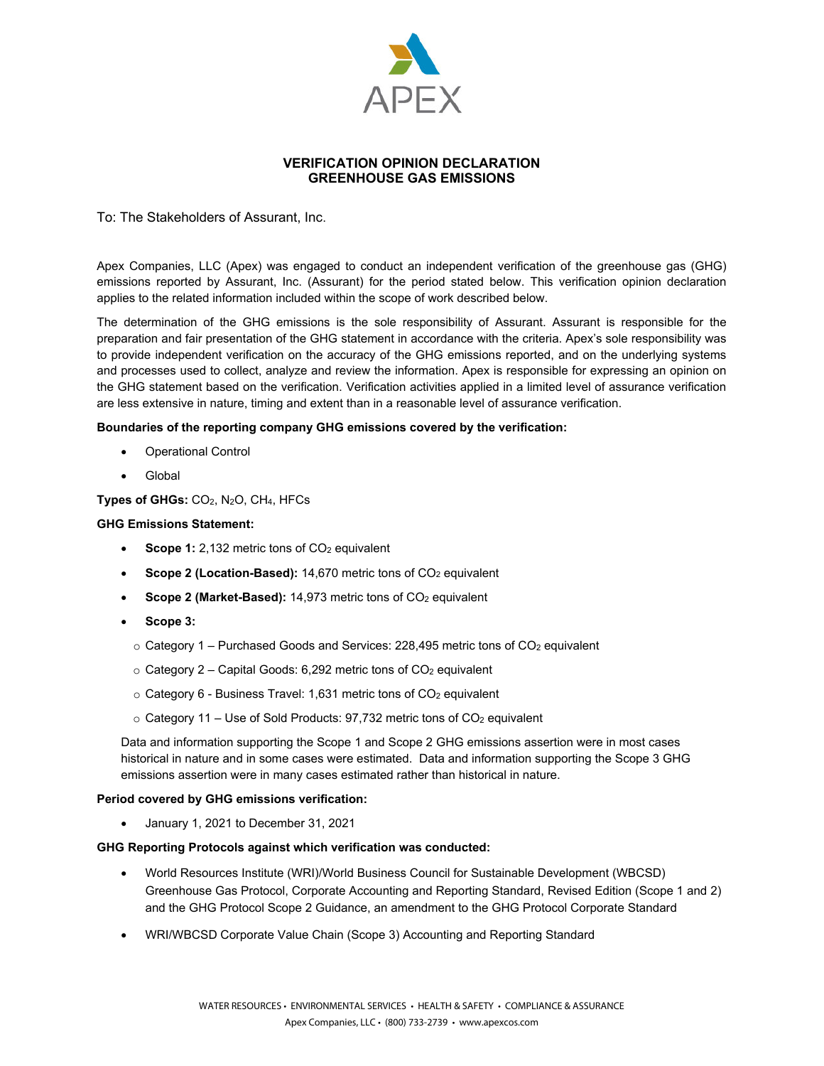

# **VERIFICATION OPINION DECLARATION GREENHOUSE GAS EMISSIONS**

To: The Stakeholders of Assurant, Inc.

Apex Companies, LLC (Apex) was engaged to conduct an independent verification of the greenhouse gas (GHG) emissions reported by Assurant, Inc. (Assurant) for the period stated below. This verification opinion declaration applies to the related information included within the scope of work described below.

The determination of the GHG emissions is the sole responsibility of Assurant. Assurant is responsible for the preparation and fair presentation of the GHG statement in accordance with the criteria. Apex's sole responsibility was to provide independent verification on the accuracy of the GHG emissions reported, and on the underlying systems and processes used to collect, analyze and review the information. Apex is responsible for expressing an opinion on the GHG statement based on the verification. Verification activities applied in a limited level of assurance verification are less extensive in nature, timing and extent than in a reasonable level of assurance verification.

## **Boundaries of the reporting company GHG emissions covered by the verification:**

- Operational Control
- Global

## **Types of GHGs:** CO2, N2O, CH4, HFCs

#### **GHG Emissions Statement:**

- **Scope 1:** 2,132 metric tons of CO<sub>2</sub> equivalent
- **Scope 2 (Location-Based):** 14,670 metric tons of CO<sub>2</sub> equivalent
- Scope 2 (Market-Based): 14,973 metric tons of CO<sub>2</sub> equivalent
- **Scope 3:** 
	- $\circ$  Category 1 Purchased Goods and Services: 228,495 metric tons of CO<sub>2</sub> equivalent
	- $\circ$  Category 2 Capital Goods: 6,292 metric tons of CO<sub>2</sub> equivalent
	- $\circ$  Category 6 Business Travel: 1,631 metric tons of CO<sub>2</sub> equivalent
	- $\circ$  Category 11 Use of Sold Products: 97,732 metric tons of CO<sub>2</sub> equivalent

Data and information supporting the Scope 1 and Scope 2 GHG emissions assertion were in most cases historical in nature and in some cases were estimated. Data and information supporting the Scope 3 GHG emissions assertion were in many cases estimated rather than historical in nature.

#### **Period covered by GHG emissions verification:**

January 1, 2021 to December 31, 2021

# **GHG Reporting Protocols against which verification was conducted:**

- World Resources Institute (WRI)/World Business Council for Sustainable Development (WBCSD) Greenhouse Gas Protocol, Corporate Accounting and Reporting Standard, Revised Edition (Scope 1 and 2) and the GHG Protocol Scope 2 Guidance, an amendment to the GHG Protocol Corporate Standard
- WRI/WBCSD Corporate Value Chain (Scope 3) Accounting and Reporting Standard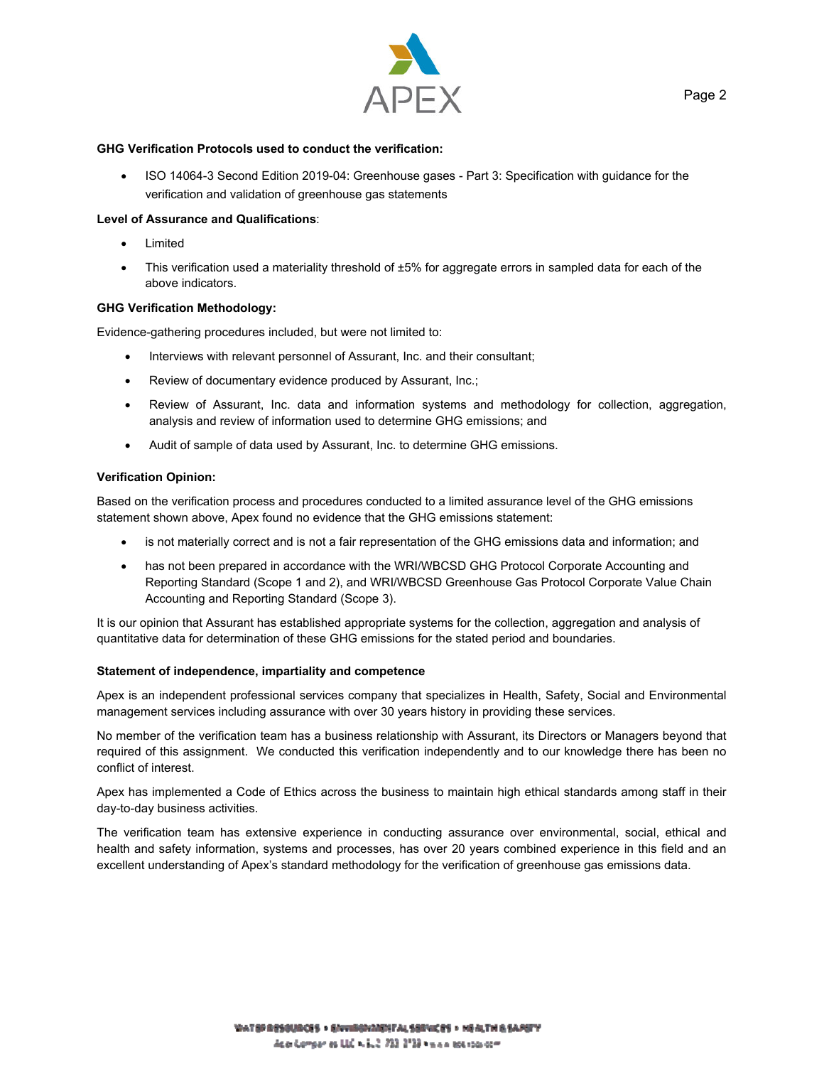

#### **GHG Verification Protocols used to conduct the verification:**

 ISO 14064-3 Second Edition 2019-04: Greenhouse gases - Part 3: Specification with guidance for the verification and validation of greenhouse gas statements

### **Level of Assurance and Qualifications**:

- Limited
- This verification used a materiality threshold of ±5% for aggregate errors in sampled data for each of the above indicators.

#### **GHG Verification Methodology:**

Evidence-gathering procedures included, but were not limited to:

- Interviews with relevant personnel of Assurant, Inc. and their consultant;
- Review of documentary evidence produced by Assurant, Inc.;
- Review of Assurant, Inc. data and information systems and methodology for collection, aggregation, analysis and review of information used to determine GHG emissions; and
- Audit of sample of data used by Assurant, Inc. to determine GHG emissions.

#### **Verification Opinion:**

Based on the verification process and procedures conducted to a limited assurance level of the GHG emissions statement shown above, Apex found no evidence that the GHG emissions statement:

- is not materially correct and is not a fair representation of the GHG emissions data and information; and
- has not been prepared in accordance with the WRI/WBCSD GHG Protocol Corporate Accounting and Reporting Standard (Scope 1 and 2), and WRI/WBCSD Greenhouse Gas Protocol Corporate Value Chain Accounting and Reporting Standard (Scope 3).

It is our opinion that Assurant has established appropriate systems for the collection, aggregation and analysis of quantitative data for determination of these GHG emissions for the stated period and boundaries.

#### **Statement of independence, impartiality and competence**

Apex is an independent professional services company that specializes in Health, Safety, Social and Environmental management services including assurance with over 30 years history in providing these services.

No member of the verification team has a business relationship with Assurant, its Directors or Managers beyond that required of this assignment. We conducted this verification independently and to our knowledge there has been no conflict of interest.

Apex has implemented a Code of Ethics across the business to maintain high ethical standards among staff in their day-to-day business activities.

The verification team has extensive experience in conducting assurance over environmental, social, ethical and health and safety information, systems and processes, has over 20 years combined experience in this field and an excellent understanding of Apex's standard methodology for the verification of greenhouse gas emissions data.